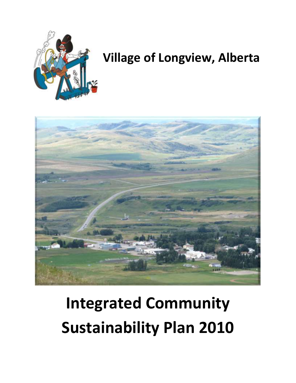

# **Village of Longview, Alberta**



# **Integrated Community Sustainability Plan 2010**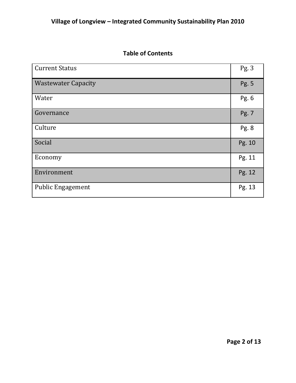# **Table of Contents**

| <b>Current Status</b>      | Pg. $3$ |
|----------------------------|---------|
| <b>Wastewater Capacity</b> | Pg. 5   |
| Water                      | Pg. 6   |
| Governance                 | Pg. 7   |
| Culture                    | Pg. 8   |
| Social                     | Pg. 10  |
| Economy                    | Pg. 11  |
| Environment                | Pg. 12  |
| <b>Public Engagement</b>   | Pg. 13  |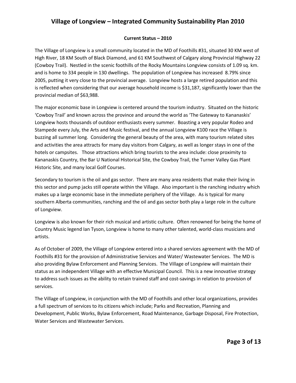#### **Current Status – 2010**

The Village of Longview is a small community located in the MD of Foothills #31, situated 30 KM west of High River, 18 KM South of Black Diamond, and 61 KM Southwest of Calgary along Provincial Highway 22 (Cowboy Trail). Nestled in the scenic foothills of the Rocky Mountains Longview consists of 1.09 sq. km. and is home to 334 people in 130 dwellings. The population of Longview has increased 8.79% since 2005, putting it very close to the provincial average. Longview hosts a large retired population and this is reflected when considering that our average household income is \$31,187, significantly lower than the provincial median of \$63,988.

The major economic base in Longview is centered around the tourism industry. Situated on the historic 'Cowboy Trail' and known across the province and around the world as 'The Gateway to Kananaskis' Longview hosts thousands of outdoor enthusiasts every summer. Boasting a very popular Rodeo and Stampede every July, the Arts and Music festival, and the annual Longview K100 race the Village is buzzing all summer long. Considering the general beauty of the area, with many tourism related sites and activities the area attracts for many day visitors from Calgary, as well as longer stays in one of the hotels or campsites. Those attractions which bring tourists to the area include: close proximity to Kananaskis Country, the Bar U National Historical Site, the Cowboy Trail, the Turner Valley Gas Plant Historic Site, and many local Golf Courses.

Secondary to tourism is the oil and gas sector. There are many area residents that make their living in this sector and pump jacks still operate within the Village. Also important is the ranching industry which makes up a large economic base in the immediate periphery of the Village. As is typical for many southern Alberta communities, ranching and the oil and gas sector both play a large role in the culture of Longview.

Longview is also known for their rich musical and artistic culture. Often renowned for being the home of Country Music legend Ian Tyson, Longview is home to many other talented, world-class musicians and artists.

As of October of 2009, the Village of Longview entered into a shared services agreement with the MD of Foothills #31 for the provision of Administrative Services and Water/ Wastewater Services. The MD is also providing Bylaw Enforcement and Planning Services. The Village of Longview will maintain their status as an independent Village with an effective Municipal Council. This is a new innovative strategy to address such issues as the ability to retain trained staff and cost-savings in relation to provision of services.

The Village of Longview, in conjunction with the MD of Foothills and other local organizations, provides a full spectrum of services to its citizens which include; Parks and Recreation, Planning and Development, Public Works, Bylaw Enforcement, Road Maintenance, Garbage Disposal, Fire Protection, Water Services and Wastewater Services.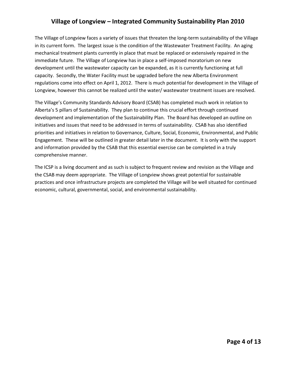The Village of Longview faces a variety of issues that threaten the long-term sustainability of the Village in its current form. The largest issue is the condition of the Wastewater Treatment Facility. An aging mechanical treatment plants currently in place that must be replaced or extensively repaired in the immediate future. The Village of Longview has in place a self-imposed moratorium on new development until the wastewater capacity can be expanded, as it is currently functioning at full capacity. Secondly, the Water Facility must be upgraded before the new Alberta Environment regulations come into effect on April 1, 2012. There is much potential for development in the Village of Longview, however this cannot be realized until the water/ wastewater treatment issues are resolved.

The Village's Community Standards Advisory Board (CSAB) has completed much work in relation to Alberta's 5 pillars of Sustainability. They plan to continue this crucial effort through continued development and implementation of the Sustainability Plan. The Board has developed an outline on initiatives and issues that need to be addressed in terms of sustainability. CSAB has also identified priorities and initiatives in relation to Governance, Culture, Social, Economic, Environmental, and Public Engagement. These will be outlined in greater detail later in the document. It is only with the support and information provided by the CSAB that this essential exercise can be completed in a truly comprehensive manner.

The ICSP is a living document and as such is subject to frequent review and revision as the Village and the CSAB may deem appropriate. The Village of Longview shows great potential for sustainable practices and once infrastructure projects are completed the Village will be well situated for continued economic, cultural, governmental, social, and environmental sustainability.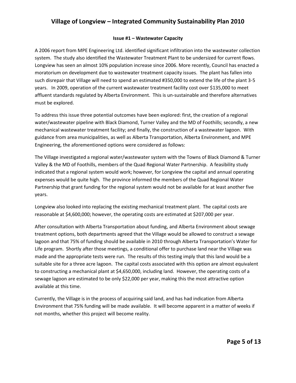#### **Issue #1 – Wastewater Capacity**

A 2006 report from MPE Engineering Ltd. identified significant infiltration into the wastewater collection system. The study also identified the Wastewater Treatment Plant to be undersized for current flows. Longview has seen an almost 10% population increase since 2006. More recently, Council has enacted a moratorium on development due to wastewater treatment capacity issues. The plant has fallen into such disrepair that Village will need to spend an estimated #350,000 to extend the life of the plant 3-5 years. In 2009, operation of the current wastewater treatment facility cost over \$135,000 to meet affluent standards regulated by Alberta Environment. This is un-sustainable and therefore alternatives must be explored.

To address this issue three potential outcomes have been explored: first, the creation of a regional water/wastewater pipeline with Black Diamond, Turner Valley and the MD of Foothills; secondly, a new mechanical wastewater treatment facility; and finally, the construction of a wastewater lagoon. With guidance from area municipalities, as well as Alberta Transportation, Alberta Environment, and MPE Engineering, the aforementioned options were considered as follows:

The Village investigated a regional water/wastewater system with the Towns of Black Diamond & Turner Valley & the MD of Foothills, members of the Quad Regional Water Partnership. A feasibility study indicated that a regional system would work; however, for Longview the capital and annual operating expenses would be quite high. The province informed the members of the Quad Regional Water Partnership that grant funding for the regional system would not be available for at least another five years.

Longview also looked into replacing the existing mechanical treatment plant. The capital costs are reasonable at \$4,600,000; however, the operating costs are estimated at \$207,000 per year.

After consultation with Alberta Transportation about funding, and Alberta Environment about sewage treatment options, both departments agreed that the Village would be allowed to construct a sewage lagoon and that 75% of funding should be available in 2010 through Alberta Transportation's Water for Life program. Shortly after those meetings, a conditional offer to purchase land near the Village was made and the appropriate tests were run. The results of this testing imply that this land would be a suitable site for a three acre lagoon. The capital costs associated with this option are almost equivalent to constructing a mechanical plant at \$4,650,000, including land. However, the operating costs of a sewage lagoon are estimated to be only \$22,000 per year, making this the most attractive option available at this time.

Currently, the Village is in the process of acquiring said land, and has had indication from Alberta Environment that 75% funding will be made available. It will become apparent in a matter of weeks if not months, whether this project will become reality.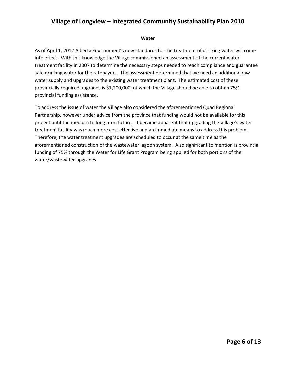#### **Water**

As of April 1, 2012 Alberta Environment's new standards for the treatment of drinking water will come into effect. With this knowledge the Village commissioned an assessment of the current water treatment facility in 2007 to determine the necessary steps needed to reach compliance and guarantee safe drinking water for the ratepayers. The assessment determined that we need an additional raw water supply and upgrades to the existing water treatment plant. The estimated cost of these provincially required upgrades is \$1,200,000; of which the Village should be able to obtain 75% provincial funding assistance.

To address the issue of water the Village also considered the aforementioned Quad Regional Partnership, however under advice from the province that funding would not be available for this project until the medium to long term future, It became apparent that upgrading the Village's water treatment facility was much more cost effective and an immediate means to address this problem. Therefore, the water treatment upgrades are scheduled to occur at the same time as the aforementioned construction of the wastewater lagoon system. Also significant to mention is provincial funding of 75% through the Water for Life Grant Program being applied for both portions of the water/wastewater upgrades.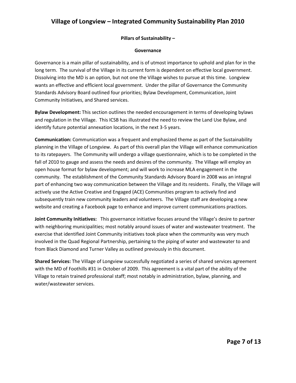#### **Pillars of Sustainability –**

#### **Governance**

Governance is a main pillar of sustainability, and is of utmost importance to uphold and plan for in the long term. The survival of the Village in its current form is dependent on effective local government. Dissolving into the MD is an option, but not one the Village wishes to pursue at this time. Longview wants an effective and efficient local government. Under the pillar of Governance the Community Standards Advisory Board outlined four priorities; Bylaw Development, Communication, Joint Community Initiatives, and Shared services.

**Bylaw Development:** This section outlines the needed encouragement in terms of developing bylaws and regulation in the Village. This ICSB has illustrated the need to review the Land Use Bylaw, and identify future potential annexation locations, in the next 3-5 years.

**Communication:** Communication was a frequent and emphasized theme as part of the Sustainability planning in the Village of Longview. As part of this overall plan the Village will enhance communication to its ratepayers. The Community will undergo a village questionnaire, which is to be completed in the fall of 2010 to gauge and assess the needs and desires of the community. The Village will employ an open house format for bylaw development; and will work to increase MLA engagement in the community. The establishment of the Community Standards Advisory Board in 2008 was an integral part of enhancing two way communication between the Village and its residents. Finally, the Village will actively use the Active Creative and Engaged (ACE) Communities program to actively find and subsequently train new community leaders and volunteers. The Village staff are developing a new website and creating a Facebook page to enhance and improve current communications practices.

**Joint Community Initiatives:** This governance initiative focuses around the Village's desire to partner with neighboring municipalities; most notably around issues of water and wastewater treatment. The exercise that identified Joint Community initiatives took place when the community was very much involved in the Quad Regional Partnership, pertaining to the piping of water and wastewater to and from Black Diamond and Turner Valley as outlined previously in this document.

**Shared Services:** The Village of Longview successfully negotiated a series of shared services agreement with the MD of Foothills #31 in October of 2009. This agreement is a vital part of the ability of the Village to retain trained professional staff; most notably in administration, bylaw, planning, and water/wastewater services.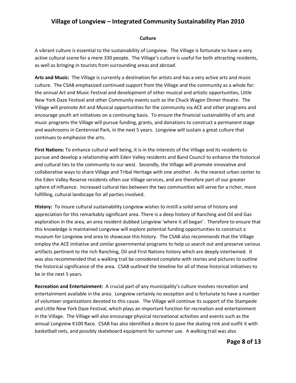#### **Culture**

A vibrant culture is essential to the sustainability of Longview. The Village is fortunate to have a very active cultural scene for a mere 330 people. The Village's culture is useful for both attracting residents, as well as bringing in tourists from surrounding areas and abroad.

**Arts and Music:** The Village is currently a destination for artists and has a very active arts and music culture. The CSAB emphasized continued support from the Village and the community as a whole for: the annual Art and Music Festival and development of other musical and artistic opportunities, Little New York Daze Festival and other Community events such as the Chuck Wagon Dinner theatre. The Village will promote Art and Musical opportunities for the community via ACE and other programs and encourage youth art initiatives on a continuing basis. To ensure the financial sustainability of arts and music programs the Village will pursue funding, grants, and donations to construct a permanent stage and washrooms in Centennial Park, in the next 5 years. Longview will sustain a great culture that continues to emphasize the arts.

**First Nations:** To enhance cultural well being, it is in the interests of the Village and its residents to pursue and develop a relationship with Eden Valley residents and Band Council to enhance the historical and cultural ties to the community to our west. Secondly, the Village will promote innovative and collaborative ways to share Village and Tribal Heritage with one another. As the nearest urban center to the Eden Valley Reserve residents often use Village services, and are therefore part of our greater sphere of influence. Increased cultural ties between the two communities will serve for a richer, more fulfilling, cultural landscape for all parties involved.

**History:** To insure cultural sustainability Longview wishes to instill a solid sense of history and appreciation for this remarkably significant area. There is a deep history of Ranching and Oil and Gas exploration in the area, an area resident dubbed Longview 'where it all began'. Therefore to ensure that this knowledge is maintained Longview will explore potential funding opportunities to construct a museum for Longview and area to showcase this history. The CSAB also recommends that the Village employ the ACE initiative and similar governmental programs to help us search out and preserve various artifacts pertinent to the rich Ranching, Oil and First Nations history which are deeply intertwined. It was also recommended that a walking trail be considered complete with stories and pictures to outline the historical significance of the area. CSAB outlined the timeline for all of these historical initiatives to be in the next 5 years.

**Recreation and Entertainment:** A crucial part of any municipality's culture involves recreation and entertainment available in the area. Longview certainly no exception and is fortunate to have a number of volunteer organizations devoted to this cause. The Village will continue its support of the Stampede and Little New York Daze Festival, which plays an important function for recreation and entertainment in the Village. The Village will also encourage physical recreational activities and events such as the annual Longview K100 Race. CSAB has also identified a desire to pave the skating rink and outfit it with basketball nets, and possibly skateboard equipment for summer use. A walking trail was also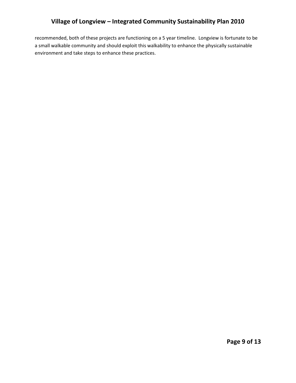recommended, both of these projects are functioning on a 5 year timeline. Longview is fortunate to be a small walkable community and should exploit this walkability to enhance the physically sustainable environment and take steps to enhance these practices.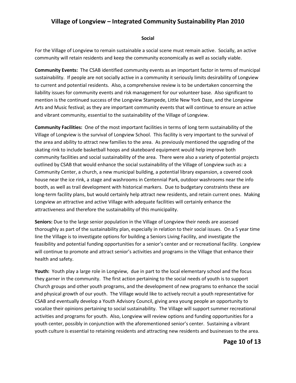#### **Social**

For the Village of Longview to remain sustainable a social scene must remain active. Socially, an active community will retain residents and keep the community economically as well as socially viable.

**Community Events:** The CSAB identified community events as an important factor in terms of municipal sustainability. If people are not socially active in a community it seriously limits desirability of Longview to current and potential residents. Also, a comprehensive review is to be undertaken concerning the liability issues for community events and risk management for our volunteer base. Also significant to mention is the continued success of the Longview Stampede, Little New York Daze, and the Longview Arts and Music festival; as they are important community events that will continue to ensure an active and vibrant community, essential to the sustainability of the Village of Longview.

**Community Facilities:** One of the most important facilities in terms of long term sustainability of the Village of Longview is the survival of Longview School. This facility is very important to the survival of the area and ability to attract new families to the area. As previously mentioned the upgrading of the skating rink to include basketball hoops and skateboard equipment would help improve both community facilities and social sustainability of the area. There were also a variety of potential projects outlined by CSAB that would enhance the social sustainability of the Village of Longview such as: a Community Center, a church, a new municipal building, a potential library expansion, a covered cook house near the ice rink, a stage and washrooms in Centennial Park, outdoor washrooms near the info booth, as well as trail development with historical markers. Due to budgetary constraints these are long-term facility plans, but would certainly help attract new residents, and retain current ones. Making Longview an attractive and active Village with adequate facilities will certainly enhance the attractiveness and therefore the sustainability of this municipality.

**Seniors:** Due to the large senior population in the Village of Longview their needs are assessed thoroughly as part of the sustainability plan, especially in relation to their social issues. On a 5 year time line the Village is to investigate options for building a Seniors Living Facility, and investigate the feasibility and potential funding opportunities for a senior's center and or recreational facility. Longview will continue to promote and attract senior's activities and programs in the Village that enhance their health and safety.

**Youth:** Youth play a large role in Longview, due in part to the local elementary school and the focus they garner in the community. The first action pertaining to the social needs of youth is to support Church groups and other youth programs, and the development of new programs to enhance the social and physical growth of our youth. The Village would like to actively recruit a youth representative for CSAB and eventually develop a Youth Advisory Council, giving area young people an opportunity to vocalize their opinions pertaining to social sustainability. The Village will support summer recreational activities and programs for youth. Also, Longview will review options and funding opportunities for a youth center, possibly in conjunction with the aforementioned senior's center. Sustaining a vibrant youth culture is essential to retaining residents and attracting new residents and businesses to the area.

#### **Page 10 of 13**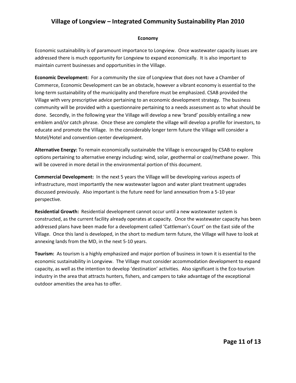#### **Economy**

Economic sustainability is of paramount importance to Longview. Once wastewater capacity issues are addressed there is much opportunity for Longview to expand economically. It is also important to maintain current businesses and opportunities in the Village.

**Economic Development:** For a community the size of Longview that does not have a Chamber of Commerce, Economic Development can be an obstacle, however a vibrant economy is essential to the long-term sustainability of the municipality and therefore must be emphasized. CSAB provided the Village with very prescriptive advice pertaining to an economic development strategy. The business community will be provided with a questionnaire pertaining to a needs assessment as to what should be done. Secondly, in the following year the Village will develop a new 'brand' possibly entailing a new emblem and/or catch phrase. Once these are complete the village will develop a profile for investors, to educate and promote the Village. In the considerably longer term future the Village will consider a Motel/Hotel and convention center development.

**Alternative Energy:** To remain economically sustainable the Village is encouraged by CSAB to explore options pertaining to alternative energy including: wind, solar, geothermal or coal/methane power. This will be covered in more detail in the environmental portion of this document.

**Commercial Development:** In the next 5 years the Village will be developing various aspects of infrastructure, most importantly the new wastewater lagoon and water plant treatment upgrades discussed previously. Also important is the future need for land annexation from a 5-10 year perspective.

**Residential Growth:** Residential development cannot occur until a new wastewater system is constructed, as the current facility already operates at capacity. Once the wastewater capacity has been addressed plans have been made for a development called 'Cattleman's Court' on the East side of the Village. Once this land is developed, in the short to medium term future, the Village will have to look at annexing lands from the MD, in the next 5-10 years.

**Tourism:** As tourism is a highly emphasized and major portion of business in town it is essential to the economic sustainability in Longview. The Village must consider accommodation development to expand capacity, as well as the intention to develop 'destination' activities. Also significant is the Eco-tourism industry in the area that attracts hunters, fishers, and campers to take advantage of the exceptional outdoor amenities the area has to offer.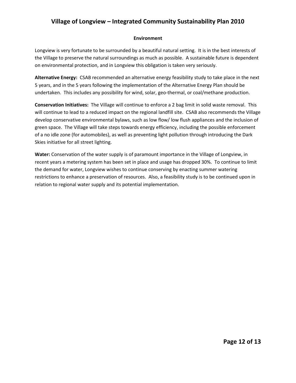#### **Environment**

Longview is very fortunate to be surrounded by a beautiful natural setting. It is in the best interests of the Village to preserve the natural surroundings as much as possible. A sustainable future is dependent on environmental protection, and in Longview this obligation is taken very seriously.

**Alternative Energy:** CSAB recommended an alternative energy feasibility study to take place in the next 5 years, and in the 5 years following the implementation of the Alternative Energy Plan should be undertaken. This includes any possibility for wind, solar, geo-thermal, or coal/methane production.

**Conservation Initiatives:** The Village will continue to enforce a 2 bag limit in solid waste removal. This will continue to lead to a reduced impact on the regional landfill site. CSAB also recommends the Village develop conservative environmental bylaws, such as low flow/ low flush appliances and the inclusion of green space. The Village will take steps towards energy efficiency, including the possible enforcement of a no idle zone (for automobiles), as well as preventing light pollution through introducing the Dark Skies initiative for all street lighting.

**Water:** Conservation of the water supply is of paramount importance in the Village of Longview, in recent years a metering system has been set in place and usage has dropped 30%. To continue to limit the demand for water, Longview wishes to continue conserving by enacting summer watering restrictions to enhance a preservation of resources. Also, a feasibility study is to be continued upon in relation to regional water supply and its potential implementation.